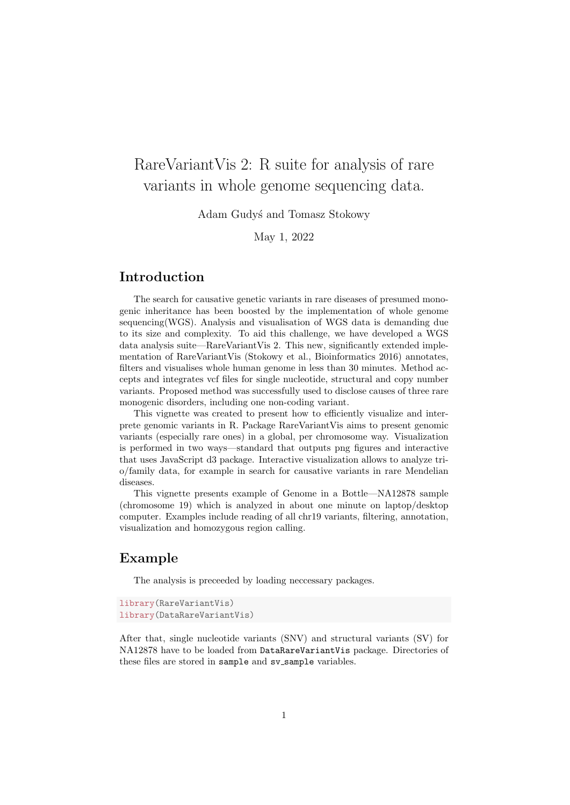# RareVariantVis 2: R suite for analysis of rare variants in whole genome sequencing data.

Adam Gudy´s and Tomasz Stokowy

May 1, 2022

## Introduction

The search for causative genetic variants in rare diseases of presumed monogenic inheritance has been boosted by the implementation of whole genome sequencing(WGS). Analysis and visualisation of WGS data is demanding due to its size and complexity. To aid this challenge, we have developed a WGS data analysis suite—RareVariantVis 2. This new, significantly extended implementation of RareVariantVis (Stokowy et al., Bioinformatics 2016) annotates, filters and visualises whole human genome in less than 30 minutes. Method accepts and integrates vcf files for single nucleotide, structural and copy number variants. Proposed method was successfully used to disclose causes of three rare monogenic disorders, including one non-coding variant.

This vignette was created to present how to efficiently visualize and interprete genomic variants in R. Package RareVariantVis aims to present genomic variants (especially rare ones) in a global, per chromosome way. Visualization is performed in two ways—standard that outputs png figures and interactive that uses JavaScript d3 package. Interactive visualization allows to analyze trio/family data, for example in search for causative variants in rare Mendelian diseases.

This vignette presents example of Genome in a Bottle—NA12878 sample (chromosome 19) which is analyzed in about one minute on laptop/desktop computer. Examples include reading of all chr19 variants, filtering, annotation, visualization and homozygous region calling.

## Example

The analysis is preceeded by loading neccessary packages.

```
library(RareVariantVis)
library(DataRareVariantVis)
```
After that, single nucleotide variants (SNV) and structural variants (SV) for NA12878 have to be loaded from DataRareVariantVis package. Directories of these files are stored in sample and sv\_sample variables.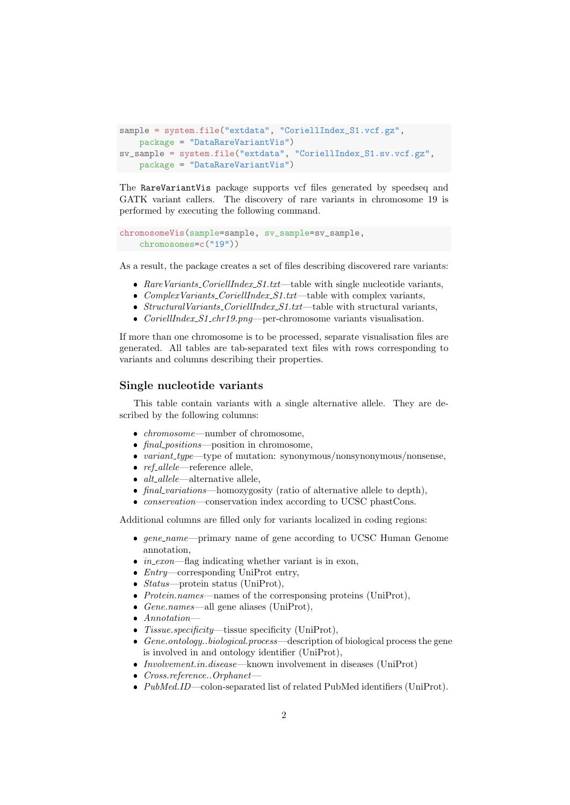```
sample = system.file("extdata", "CoriellIndex_S1.vcf.gz",
   package = "DataRareVariantVis")
sv_sample = system.file("extdata", "CoriellIndex_S1.sv.vcf.gz",
   package = "DataRareVariantVis")
```
The RareVariantVis package supports vcf files generated by speedseq and GATK variant callers. The discovery of rare variants in chromosome 19 is performed by executing the following command.

```
chromosomeVis(sample=sample, sv_sample=sv_sample,
   chromosomes=c("19"))
```
As a result, the package creates a set of files describing discovered rare variants:

- RareVariants\_CoriellIndex\_S1.txt—table with single nucleotide variants,
- $\bullet$  ComplexVariants\_CoriellIndex\_S1.txt—table with complex variants,
- $\bullet$  StructuralVariants\_CoriellIndex\_S1.txt—table with structural variants,
- *CoriellIndex\_S1\_chr19.png*—per-chromosome variants visualisation.

If more than one chromosome is to be processed, separate visualisation files are generated. All tables are tab-separated text files with rows corresponding to variants and columns describing their properties.

#### Single nucleotide variants

This table contain variants with a single alternative allele. They are described by the following columns:

- *chromosome*—number of chromosome,
- final positions—position in chromosome,
- $\bullet$  variant type—type of mutation: synonymous/nonsynonymous/nonsense,
- $ref\_allele$ —reference allele,
- $\bullet$  *alt\_allele*—alternative allele,
- final variations—homozygosity (ratio of alternative allele to depth),
- conservation—conservation index according to UCSC phastCons.

Additional columns are filled only for variants localized in coding regions:

- gene\_name—primary name of gene according to UCSC Human Genome annotation,
- $in\_exon$ —flag indicating whether variant is in exon,
- $\bullet$  *Entry*—corresponding UniProt entry,
- $\bullet$  *Status*—protein status (UniProt),
- $\bullet$  Protein.names—names of the corresponsing proteins (UniProt),
- Gene.names—all gene aliases (UniProt),
- Annotation—
- Tissue.specificity—tissue specificity (UniProt),
- $\bullet$  Gene.ontology..biological.process—description of biological process the gene is involved in and ontology identifier (UniProt),
- Involvement.in.disease—known involvement in diseases (UniProt)
- Cross.reference..Orphanet—
- $\bullet$  PubMed.ID—colon-separated list of related PubMed identifiers (UniProt).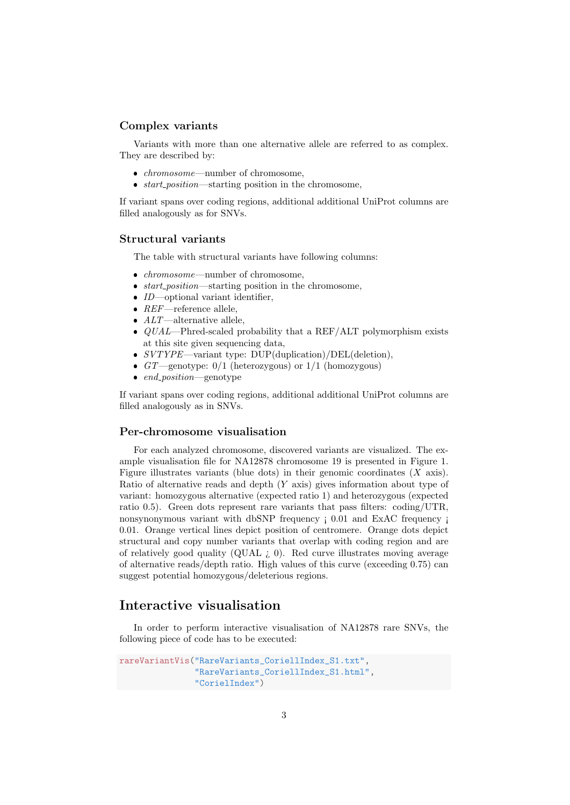### Complex variants

Variants with more than one alternative allele are referred to as complex. They are described by:

- *chromosome*—number of chromosome,
- $\bullet$  start\_position—starting position in the chromosome,

If variant spans over coding regions, additional additional UniProt columns are filled analogously as for SNVs.

#### Structural variants

The table with structural variants have following columns:

- *chromosome*—number of chromosome,
- $\bullet$  start\_position—starting position in the chromosome,
- $\bullet$  *ID*—optional variant identifier,
- $REF$ —reference allele,
- $ALT$ —alternative allele,
- $\bullet$  QUAL—Phred-scaled probability that a REF/ALT polymorphism exists at this site given sequencing data,
- $\bullet$  SVTYPE—variant type: DUP(duplication)/DEL(deletion),
- $GT$  genotype:  $0/1$  (heterozygous) or  $1/1$  (homozygous)
- $\overline{\phantom{a}}$ end position—genotype

If variant spans over coding regions, additional additional UniProt columns are filled analogously as in SNVs.

#### Per-chromosome visualisation

For each analyzed chromosome, discovered variants are visualized. The example visualisation file for NA12878 chromosome 19 is presented in Figure 1. Figure illustrates variants (blue dots) in their genomic coordinates  $(X \text{ axis})$ . Ratio of alternative reads and depth (Y axis) gives information about type of variant: homozygous alternative (expected ratio 1) and heterozygous (expected ratio 0.5). Green dots represent rare variants that pass filters: coding/UTR, nonsynonymous variant with dbSNP frequency  $\mathbf{i}$  0.01 and ExAC frequency  $\mathbf{i}$ 0.01. Orange vertical lines depict position of centromere. Orange dots depict structural and copy number variants that overlap with coding region and are of relatively good quality (QUAL ¿ 0). Red curve illustrates moving average of alternative reads/depth ratio. High values of this curve (exceeding 0.75) can suggest potential homozygous/deleterious regions.

## Interactive visualisation

In order to perform interactive visualisation of NA12878 rare SNVs, the following piece of code has to be executed:

```
rareVariantVis("RareVariants_CoriellIndex_S1.txt",
               "RareVariants_CoriellIndex_S1.html",
               "CorielIndex")
```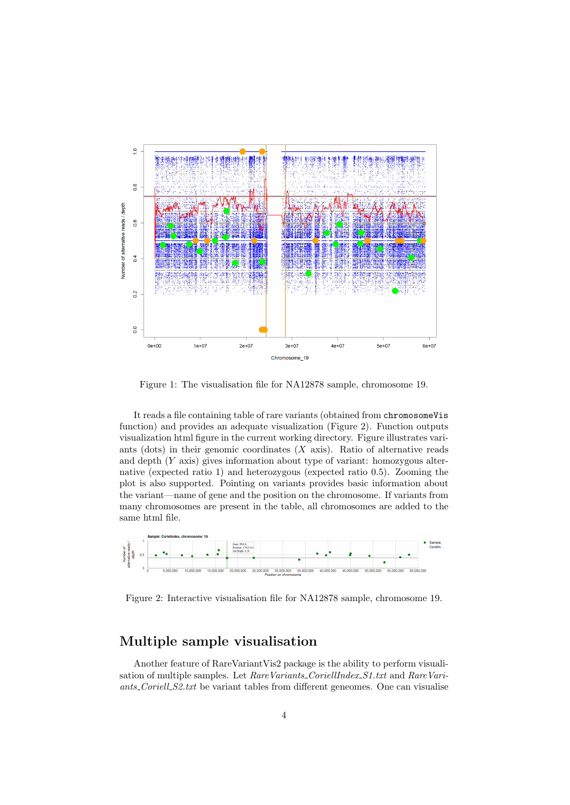

Figure 1: The visualisation file for NA12878 sample, chromosome 19.

It reads a file containing table of rare variants (obtained from chromosomeVis function) and provides an adequate visualization (Figure 2). Function outputs visualization html figure in the current working directory. Figure illustrates variants (dots) in their genomic coordinates  $(X \text{ axis})$ . Ratio of alternative reads and depth (Y axis) gives information about type of variant: homozygous alternative (expected ratio 1) and heterozygous (expected ratio 0.5). Zooming the plot is also supported. Pointing on variants provides basic information about the variant—name of gene and the position on the chromosome. If variants from many chromosomes are present in the table, all chromosomes are added to the same html file.



Figure 2: Interactive visualisation file for NA12878 sample, chromosome 19.

## Multiple sample visualisation

Another feature of RareVariantVis2 package is the ability to perform visualisation of multiple samples. Let RareVariants\_CoriellIndex\_S1.txt and RareVariants Coriell S2.txt be variant tables from different geneomes. One can visualise